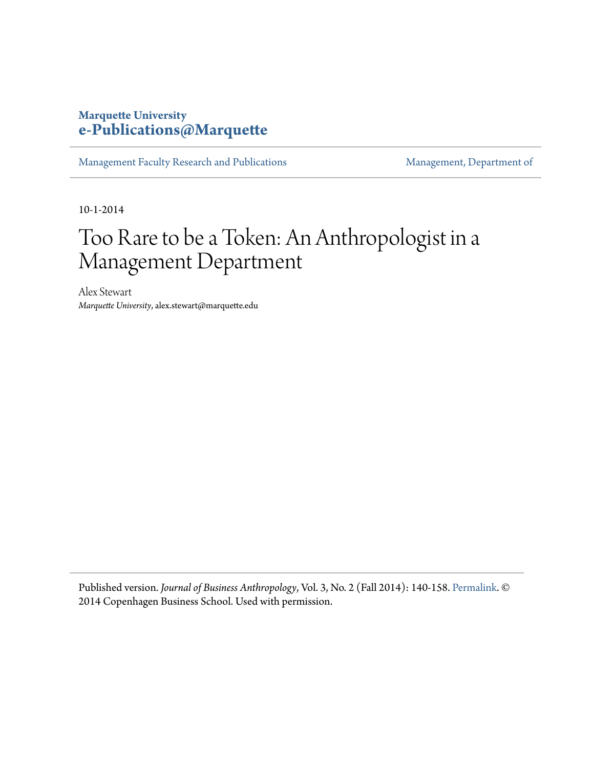## **Marquette University [e-Publications@Marquette](https://epublications.marquette.edu)**

[Management Faculty Research and Publications](https://epublications.marquette.edu/mgmt_fac) [Management, Department of](https://epublications.marquette.edu/mgmt)

10-1-2014

## Too Rare to be a Token: An Anthropologist in a Management Department

Alex Stewart *Marquette University*, alex.stewart@marquette.edu

Published version. *Journal of Business Anthropology*, Vol. 3, No. 2 (Fall 2014): 140-158. [Permalink](http://ej.lib.cbs.dk/index.php/jba/issue/view/574/showToc). © 2014 Copenhagen Business School. Used with permission.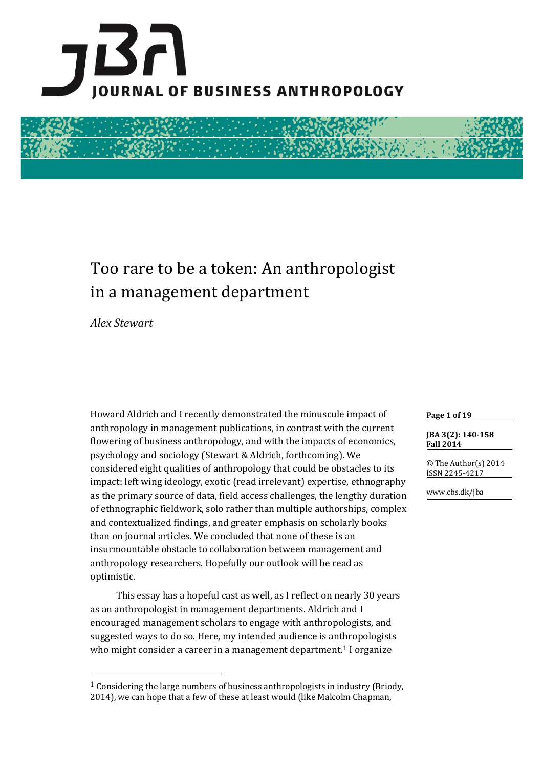

# Too rare to be a token: An anthropologist in a management department

*Alex Stewart*

 $\overline{\phantom{a}}$ 

Howard Aldrich and I recently demonstrated the minuscule impact of anthropology in management publications, in contrast with the current flowering of business anthropology, and with the impacts of economics, psychology and sociology (Stewart & Aldrich, forthcoming). We considered eight qualities of anthropology that could be obstacles to its impact: left wing ideology, exotic (read irrelevant) expertise, ethnography as the primary source of data, field access challenges, the lengthy duration of ethnographic fieldwork, solo rather than multiple authorships, complex and contextualized findings, and greater emphasis on scholarly books than on journal articles. We concluded that none of these is an insurmountable obstacle to collaboration between management and anthropology researchers. Hopefully our outlook will be read as optimistic.

This essay has a hopeful cast as well, as I reflect on nearly 30 years as an anthropologist in management departments. Aldrich and I encouraged management scholars to engage with anthropologists, and suggested ways to do so. Here, my intended audience is anthropologists who might consider a career in a management department.<sup>1</sup> I organize

#### **Page 1 of 19**

**JBA 3(2): 140-158 Fall 2014**

© The Author(s) 2014 ISSN 2245-4217

www.cbs.dk/jba

 $1$  Considering the large numbers of business anthropologists in industry (Briody, 2014), we can hope that a few of these at least would (like Malcolm Chapman,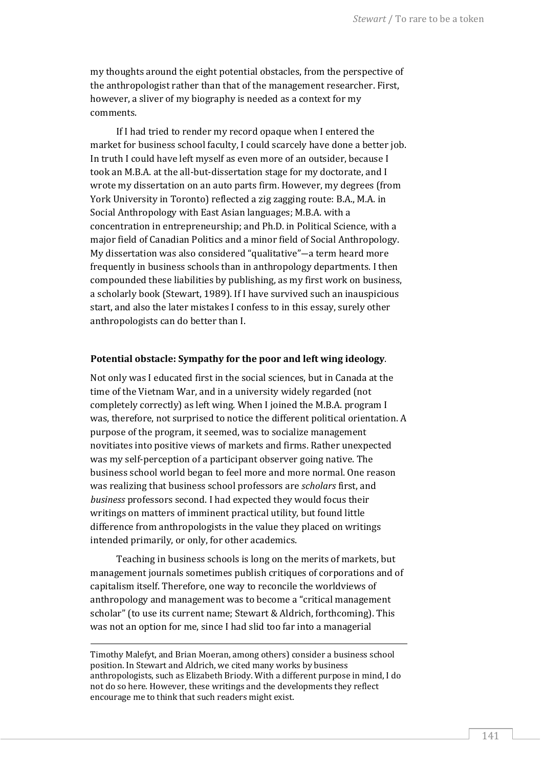my thoughts around the eight potential obstacles, from the perspective of the anthropologist rather than that of the management researcher. First, however, a sliver of my biography is needed as a context for my comments.

If I had tried to render my record opaque when I entered the market for business school faculty, I could scarcely have done a better job. In truth I could have left myself as even more of an outsider, because I took an M.B.A. at the all-but-dissertation stage for my doctorate, and I wrote my dissertation on an auto parts firm. However, my degrees (from York University in Toronto) reflected a zig zagging route: B.A., M.A. in Social Anthropology with East Asian languages; M.B.A. with a concentration in entrepreneurship; and Ph.D. in Political Science, with a major field of Canadian Politics and a minor field of Social Anthropology. My dissertation was also considered "qualitative"―a term heard more frequently in business schools than in anthropology departments. I then compounded these liabilities by publishing, as my first work on business, a scholarly book (Stewart, 1989). If I have survived such an inauspicious start, and also the later mistakes I confess to in this essay, surely other anthropologists can do better than I.

#### **Potential obstacle: Sympathy for the poor and left wing ideology**.

Not only was I educated first in the social sciences, but in Canada at the time of the Vietnam War, and in a university widely regarded (not completely correctly) as left wing. When I joined the M.B.A. program I was, therefore, not surprised to notice the different political orientation. A purpose of the program, it seemed, was to socialize management novitiates into positive views of markets and firms. Rather unexpected was my self-perception of a participant observer going native. The business school world began to feel more and more normal. One reason was realizing that business school professors are *scholars* first, and *business* professors second. I had expected they would focus their writings on matters of imminent practical utility, but found little difference from anthropologists in the value they placed on writings intended primarily, or only, for other academics.

Teaching in business schools is long on the merits of markets, but management journals sometimes publish critiques of corporations and of capitalism itself. Therefore, one way to reconcile the worldviews of anthropology and management was to become a "critical management scholar" (to use its current name; Stewart & Aldrich, forthcoming). This was not an option for me, since I had slid too far into a managerial

Timothy Malefyt, and Brian Moeran, among others) consider a business school position. In Stewart and Aldrich, we cited many works by business anthropologists, such as Elizabeth Briody. With a different purpose in mind, I do not do so here. However, these writings and the developments they reflect encourage me to think that such readers might exist.

<u>.</u>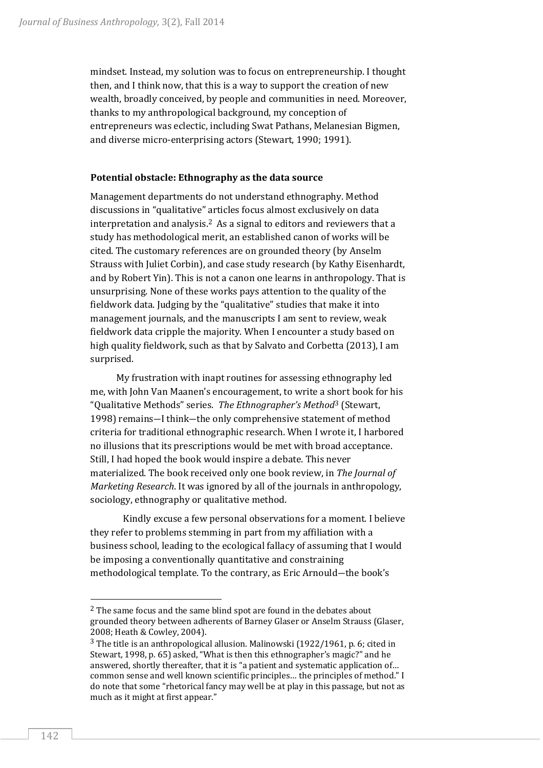mindset. Instead, my solution was to focus on entrepreneurship. I thought then, and I think now, that this is a way to support the creation of new wealth, broadly conceived, by people and communities in need. Moreover, thanks to my anthropological background, my conception of entrepreneurs was eclectic, including Swat Pathans, Melanesian Bigmen, and diverse micro-enterprising actors (Stewart, 1990; 1991).

#### **Potential obstacle: Ethnography as the data source**

Management departments do not understand ethnography. Method discussions in "qualitative" articles focus almost exclusively on data interpretation and analysis.2 As a signal to editors and reviewers that a study has methodological merit, an established canon of works will be cited. The customary references are on grounded theory (by Anselm Strauss with Juliet Corbin), and case study research (by Kathy Eisenhardt, and by Robert Yin). This is not a canon one learns in anthropology. That is unsurprising. None of these works pays attention to the quality of the fieldwork data. Judging by the "qualitative" studies that make it into management journals, and the manuscripts I am sent to review, weak fieldwork data cripple the majority. When I encounter a study based on high quality fieldwork, such as that by Salvato and Corbetta (2013), I am surprised.

My frustration with inapt routines for assessing ethnography led me, with John Van Maanen's encouragement, to write a short book for his "Qualitative Methods" series. *The Ethnographer's Method*<sup>3</sup> (Stewart, 1998) remains―I think―the only comprehensive statement of method criteria for traditional ethnographic research. When I wrote it, I harbored no illusions that its prescriptions would be met with broad acceptance. Still, I had hoped the book would inspire a debate. This never materialized. The book received only one book review, in *The Journal of Marketing Research*. It was ignored by all of the journals in anthropology, sociology, ethnography or qualitative method.

Kindly excuse a few personal observations for a moment. I believe they refer to problems stemming in part from my affiliation with a business school, leading to the ecological fallacy of assuming that I would be imposing a conventionally quantitative and constraining methodological template. To the contrary, as Eric Arnould―the book's

<sup>&</sup>lt;sup>2</sup> The same focus and the same blind spot are found in the debates about grounded theory between adherents of Barney Glaser or Anselm Strauss (Glaser, 2008; Heath & Cowley, 2004).

<sup>3</sup> The title is an anthropological allusion. Malinowski (1922/1961, p. 6; cited in Stewart, 1998, p. 65) asked, "What is then this ethnographer's magic?" and he answered, shortly thereafter, that it is "a patient and systematic application of… common sense and well known scientific principles… the principles of method." I do note that some "rhetorical fancy may well be at play in this passage, but not as much as it might at first appear."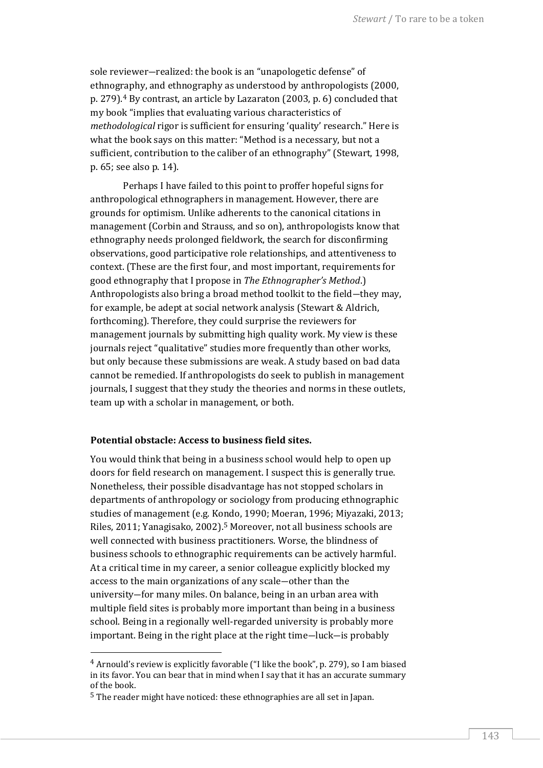sole reviewer―realized: the book is an "unapologetic defense" of ethnography, and ethnography as understood by anthropologists (2000, p. 279).<sup>4</sup> By contrast, an article by Lazaraton (2003, p. 6) concluded that my book "implies that evaluating various characteristics of *methodological* rigor is sufficient for ensuring 'quality' research." Here is what the book says on this matter: "Method is a necessary, but not a sufficient, contribution to the caliber of an ethnography" (Stewart, 1998, p. 65; see also p. 14).

Perhaps I have failed to this point to proffer hopeful signs for anthropological ethnographers in management. However, there are grounds for optimism. Unlike adherents to the canonical citations in management (Corbin and Strauss, and so on), anthropologists know that ethnography needs prolonged fieldwork, the search for disconfirming observations, good participative role relationships, and attentiveness to context. (These are the first four, and most important, requirements for good ethnography that I propose in *The Ethnographer's Method*.) Anthropologists also bring a broad method toolkit to the field―they may, for example, be adept at social network analysis (Stewart & Aldrich, forthcoming). Therefore, they could surprise the reviewers for management journals by submitting high quality work. My view is these journals reject "qualitative" studies more frequently than other works, but only because these submissions are weak. A study based on bad data cannot be remedied. If anthropologists do seek to publish in management journals, I suggest that they study the theories and norms in these outlets, team up with a scholar in management, or both.

#### **Potential obstacle: Access to business field sites.**

You would think that being in a business school would help to open up doors for field research on management. I suspect this is generally true. Nonetheless, their possible disadvantage has not stopped scholars in departments of anthropology or sociology from producing ethnographic studies of management (e.g. Kondo, 1990; Moeran, 1996; Miyazaki, 2013; Riles, 2011; Yanagisako, 2002).<sup>5</sup> Moreover, not all business schools are well connected with business practitioners. Worse, the blindness of business schools to ethnographic requirements can be actively harmful. At a critical time in my career, a senior colleague explicitly blocked my access to the main organizations of any scale―other than the university―for many miles. On balance, being in an urban area with multiple field sites is probably more important than being in a business school. Being in a regionally well-regarded university is probably more important. Being in the right place at the right time―luck―is probably

<sup>4</sup> Arnould's review is explicitly favorable ("I like the book", p. 279), so I am biased in its favor. You can bear that in mind when I say that it has an accurate summary of the book.

<sup>5</sup> The reader might have noticed: these ethnographies are all set in Japan.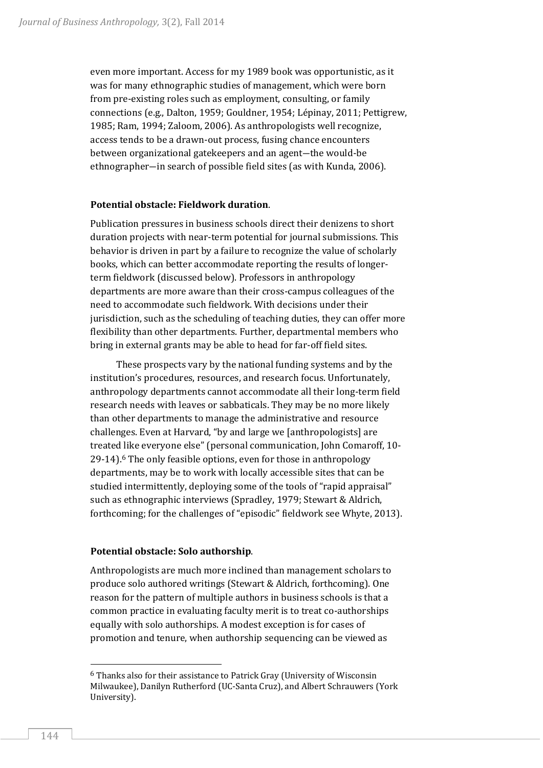even more important. Access for my 1989 book was opportunistic, as it was for many ethnographic studies of management, which were born from pre-existing roles such as employment, consulting, or family connections (e.g., Dalton, 1959; Gouldner, 1954; Lépinay, 2011; Pettigrew, 1985; Ram, 1994; Zaloom, 2006). As anthropologists well recognize, access tends to be a drawn-out process, fusing chance encounters between organizational gatekeepers and an agent―the would-be ethnographer―in search of possible field sites (as with Kunda, 2006).

### **Potential obstacle: Fieldwork duration**.

Publication pressures in business schools direct their denizens to short duration projects with near-term potential for journal submissions. This behavior is driven in part by a failure to recognize the value of scholarly books, which can better accommodate reporting the results of longerterm fieldwork (discussed below). Professors in anthropology departments are more aware than their cross-campus colleagues of the need to accommodate such fieldwork. With decisions under their jurisdiction, such as the scheduling of teaching duties, they can offer more flexibility than other departments. Further, departmental members who bring in external grants may be able to head for far-off field sites.

These prospects vary by the national funding systems and by the institution's procedures, resources, and research focus. Unfortunately, anthropology departments cannot accommodate all their long-term field research needs with leaves or sabbaticals. They may be no more likely than other departments to manage the administrative and resource challenges. Even at Harvard, "by and large we [anthropologists] are treated like everyone else" (personal communication, John Comaroff, 10- 29-14).<sup>6</sup> The only feasible options, even for those in anthropology departments, may be to work with locally accessible sites that can be studied intermittently, deploying some of the tools of "rapid appraisal" such as ethnographic interviews (Spradley, 1979; Stewart & Aldrich, forthcoming; for the challenges of "episodic" fieldwork see Whyte, 2013).

#### **Potential obstacle: Solo authorship**.

Anthropologists are much more inclined than management scholars to produce solo authored writings (Stewart & Aldrich, forthcoming). One reason for the pattern of multiple authors in business schools is that a common practice in evaluating faculty merit is to treat co-authorships equally with solo authorships. A modest exception is for cases of promotion and tenure, when authorship sequencing can be viewed as

 $6$  Thanks also for their assistance to Patrick Gray (University of Wisconsin Milwaukee), Danilyn Rutherford (UC-Santa Cruz), and Albert Schrauwers (York University).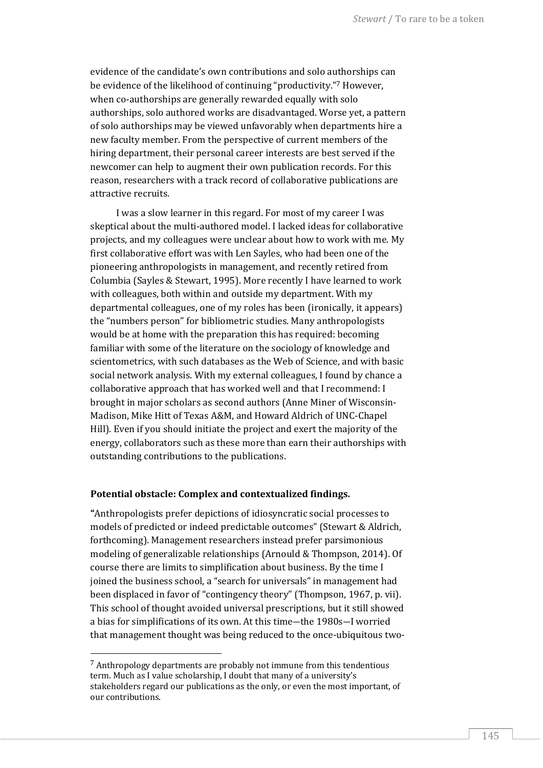evidence of the candidate's own contributions and solo authorships can be evidence of the likelihood of continuing "productivity." <sup>7</sup> However, when co-authorships are generally rewarded equally with solo authorships, solo authored works are disadvantaged. Worse yet, a pattern of solo authorships may be viewed unfavorably when departments hire a new faculty member. From the perspective of current members of the hiring department, their personal career interests are best served if the newcomer can help to augment their own publication records. For this reason, researchers with a track record of collaborative publications are attractive recruits.

I was a slow learner in this regard. For most of my career I was skeptical about the multi-authored model. I lacked ideas for collaborative projects, and my colleagues were unclear about how to work with me. My first collaborative effort was with Len Sayles, who had been one of the pioneering anthropologists in management, and recently retired from Columbia (Sayles & Stewart, 1995). More recently I have learned to work with colleagues, both within and outside my department. With my departmental colleagues, one of my roles has been (ironically, it appears) the "numbers person" for bibliometric studies. Many anthropologists would be at home with the preparation this has required: becoming familiar with some of the literature on the sociology of knowledge and scientometrics, with such databases as the Web of Science, and with basic social network analysis. With my external colleagues, I found by chance a collaborative approach that has worked well and that I recommend: I brought in major scholars as second authors (Anne Miner of Wisconsin-Madison, Mike Hitt of Texas A&M, and Howard Aldrich of UNC-Chapel Hill). Even if you should initiate the project and exert the majority of the energy, collaborators such as these more than earn their authorships with outstanding contributions to the publications.

#### **Potential obstacle: Complex and contextualized findings.**

**"**Anthropologists prefer depictions of idiosyncratic social processes to models of predicted or indeed predictable outcomes" (Stewart & Aldrich, forthcoming). Management researchers instead prefer parsimonious modeling of generalizable relationships (Arnould & Thompson, 2014). Of course there are limits to simplification about business. By the time I joined the business school, a "search for universals" in management had been displaced in favor of "contingency theory" (Thompson, 1967, p. vii). This school of thought avoided universal prescriptions, but it still showed a bias for simplifications of its own. At this time―the 1980s―I worried that management thought was being reduced to the once-ubiquitous two-

l

<sup>7</sup> Anthropology departments are probably not immune from this tendentious term. Much as I value scholarship, I doubt that many of a university's stakeholders regard our publications as the only, or even the most important, of our contributions.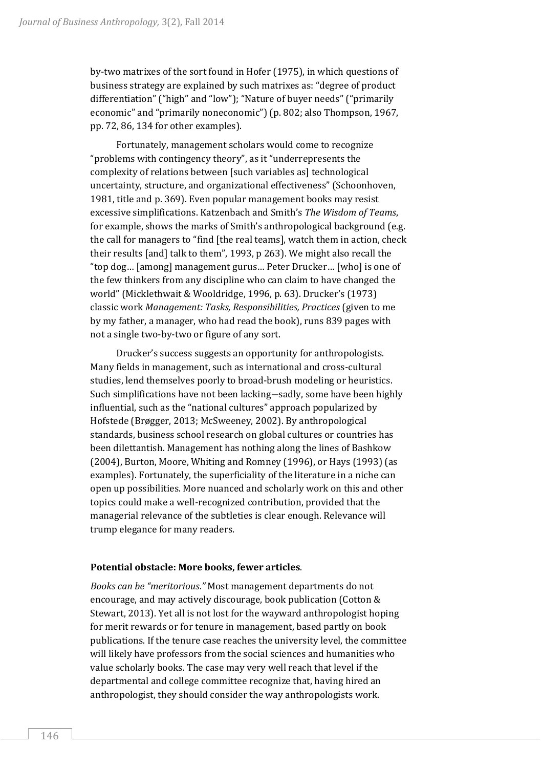by-two matrixes of the sort found in Hofer (1975), in which questions of business strategy are explained by such matrixes as: "degree of product differentiation" ("high" and "low"); "Nature of buyer needs" ("primarily economic" and "primarily noneconomic") (p. 802; also Thompson, 1967, pp. 72, 86, 134 for other examples).

Fortunately, management scholars would come to recognize "problems with contingency theory", as it "underrepresents the complexity of relations between [such variables as] technological uncertainty, structure, and organizational effectiveness" (Schoonhoven, 1981, title and p. 369). Even popular management books may resist excessive simplifications. Katzenbach and Smith's *The Wisdom of Teams*, for example, shows the marks of Smith's anthropological background (e.g. the call for managers to "find [the real teams], watch them in action, check their results [and] talk to them", 1993, p 263). We might also recall the "top dog… [among] management gurus… Peter Drucker… [who] is one of the few thinkers from any discipline who can claim to have changed the world" (Micklethwait & Wooldridge, 1996, p. 63). Drucker's (1973) classic work *Management: Tasks, Responsibilities, Practices* (given to me by my father, a manager, who had read the book), runs 839 pages with not a single two-by-two or figure of any sort.

Drucker's success suggests an opportunity for anthropologists. Many fields in management, such as international and cross-cultural studies, lend themselves poorly to broad-brush modeling or heuristics. Such simplifications have not been lacking―sadly, some have been highly influential, such as the "national cultures" approach popularized by Hofstede (Brøgger, 2013; McSweeney, 2002). By anthropological standards, business school research on global cultures or countries has been dilettantish. Management has nothing along the lines of Bashkow (2004), Burton, Moore, Whiting and Romney (1996), or Hays (1993) (as examples). Fortunately, the superficiality of the literature in a niche can open up possibilities. More nuanced and scholarly work on this and other topics could make a well-recognized contribution, provided that the managerial relevance of the subtleties is clear enough. Relevance will trump elegance for many readers.

#### **Potential obstacle: More books, fewer articles**.

*Books can be "meritorious*.*"* Most management departments do not encourage, and may actively discourage, book publication (Cotton & Stewart, 2013). Yet all is not lost for the wayward anthropologist hoping for merit rewards or for tenure in management, based partly on book publications. If the tenure case reaches the university level, the committee will likely have professors from the social sciences and humanities who value scholarly books. The case may very well reach that level if the departmental and college committee recognize that, having hired an anthropologist, they should consider the way anthropologists work.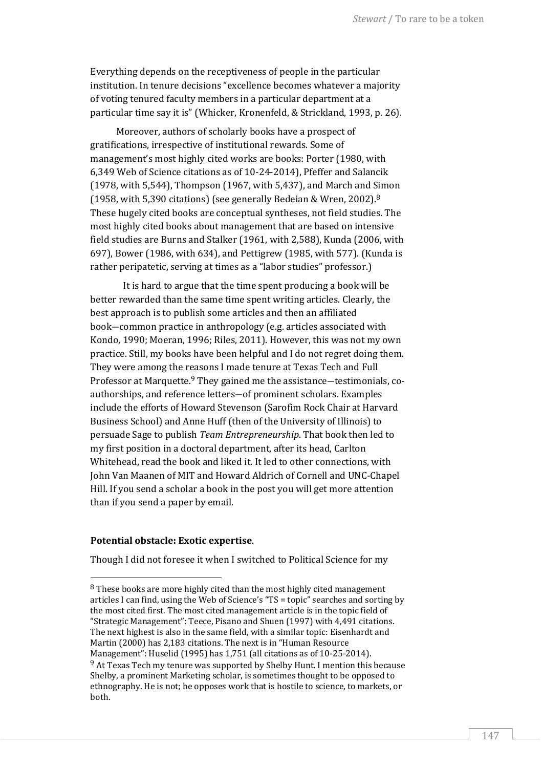Everything depends on the receptiveness of people in the particular institution. In tenure decisions "excellence becomes whatever a majority of voting tenured faculty members in a particular department at a particular time say it is" (Whicker, Kronenfeld, & Strickland, 1993, p. 26).

Moreover, authors of scholarly books have a prospect of gratifications, irrespective of institutional rewards. Some of management's most highly cited works are books: Porter (1980, with 6,349 Web of Science citations as of 10-24-2014), Pfeffer and Salancik (1978, with 5,544), Thompson (1967, with 5,437), and March and Simon (1958, with 5,390 citations) (see generally Bedeian & Wren, 2002).<sup>8</sup> These hugely cited books are conceptual syntheses, not field studies. The most highly cited books about management that are based on intensive field studies are Burns and Stalker (1961, with 2,588), Kunda (2006, with 697), Bower (1986, with 634), and Pettigrew (1985, with 577). (Kunda is rather peripatetic, serving at times as a "labor studies" professor.)

It is hard to argue that the time spent producing a book will be better rewarded than the same time spent writing articles. Clearly, the best approach is to publish some articles and then an affiliated book―common practice in anthropology (e.g. articles associated with Kondo, 1990; Moeran, 1996; Riles, 2011). However, this was not my own practice. Still, my books have been helpful and I do not regret doing them. They were among the reasons I made tenure at Texas Tech and Full Professor at Marquette.<sup>9</sup> They gained me the assistance—testimonials, coauthorships, and reference letters―of prominent scholars. Examples include the efforts of Howard Stevenson (Sarofim Rock Chair at Harvard Business School) and Anne Huff (then of the University of Illinois) to persuade Sage to publish *Team Entrepreneurship*. That book then led to my first position in a doctoral department, after its head, Carlton Whitehead, read the book and liked it. It led to other connections, with John Van Maanen of MIT and Howard Aldrich of Cornell and UNC-Chapel Hill. If you send a scholar a book in the post you will get more attention than if you send a paper by email.

#### **Potential obstacle: Exotic expertise**.

 $\overline{\phantom{a}}$ 

Though I did not foresee it when I switched to Political Science for my

 $8$  These books are more highly cited than the most highly cited management articles I can find, using the Web of Science's "TS = topic" searches and sorting by the most cited first. The most cited management article is in the topic field of "Strategic Management": Teece, Pisano and Shuen (1997) with 4,491 citations. The next highest is also in the same field, with a similar topic: Eisenhardt and Martin (2000) has 2,183 citations. The next is in "Human Resource Management": Huselid (1995) has 1,751 (all citations as of 10-25-2014).  $9$  At Texas Tech my tenure was supported by Shelby Hunt. I mention this because Shelby, a prominent Marketing scholar, is sometimes thought to be opposed to ethnography. He is not; he opposes work that is hostile to science, to markets, or both.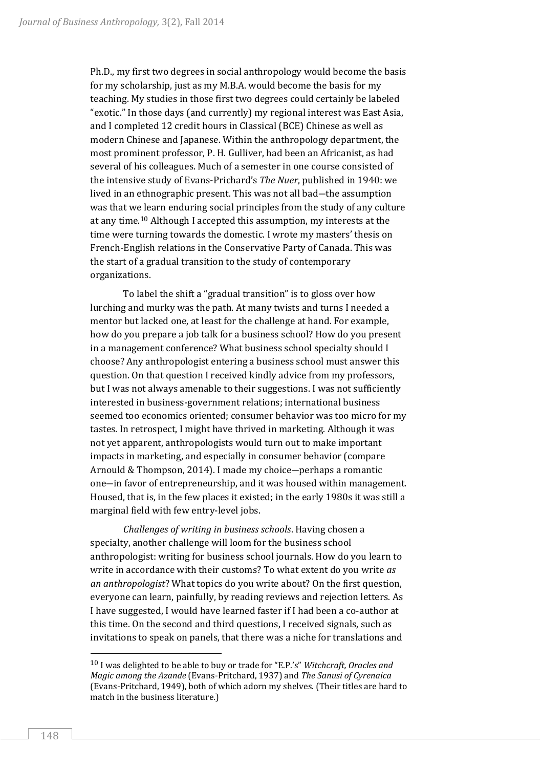Ph.D., my first two degrees in social anthropology would become the basis for my scholarship, just as my M.B.A. would become the basis for my teaching. My studies in those first two degrees could certainly be labeled "exotic." In those days (and currently) my regional interest was East Asia, and I completed 12 credit hours in Classical (BCE) Chinese as well as modern Chinese and Japanese. Within the anthropology department, the most prominent professor, P. H. Gulliver, had been an Africanist, as had several of his colleagues. Much of a semester in one course consisted of the intensive study of Evans-Prichard's *The Nuer*, published in 1940: we lived in an ethnographic present. This was not all bad―the assumption was that we learn enduring social principles from the study of any culture at any time.<sup>10</sup> Although I accepted this assumption, my interests at the time were turning towards the domestic. I wrote my masters' thesis on French-English relations in the Conservative Party of Canada. This was the start of a gradual transition to the study of contemporary organizations.

To label the shift a "gradual transition" is to gloss over how lurching and murky was the path. At many twists and turns I needed a mentor but lacked one, at least for the challenge at hand. For example, how do you prepare a job talk for a business school? How do you present in a management conference? What business school specialty should I choose? Any anthropologist entering a business school must answer this question. On that question I received kindly advice from my professors, but I was not always amenable to their suggestions. I was not sufficiently interested in business-government relations; international business seemed too economics oriented; consumer behavior was too micro for my tastes. In retrospect, I might have thrived in marketing. Although it was not yet apparent, anthropologists would turn out to make important impacts in marketing, and especially in consumer behavior (compare Arnould & Thompson, 2014). I made my choice―perhaps a romantic one―in favor of entrepreneurship, and it was housed within management. Housed, that is, in the few places it existed; in the early 1980s it was still a marginal field with few entry-level jobs.

*Challenges of writing in business schools*. Having chosen a specialty, another challenge will loom for the business school anthropologist: writing for business school journals. How do you learn to write in accordance with their customs? To what extent do you write *as an anthropologist*? What topics do you write about? On the first question, everyone can learn, painfully, by reading reviews and rejection letters. As I have suggested, I would have learned faster if I had been a co-author at this time. On the second and third questions, I received signals, such as invitations to speak on panels, that there was a niche for translations and

l

<sup>10</sup> I was delighted to be able to buy or trade for "E.P.'s" *Witchcraft, Oracles and Magic among the Azande* (Evans-Pritchard, 1937) and *The Sanusi of Cyrenaica* (Evans-Pritchard, 1949), both of which adorn my shelves. (Their titles are hard to match in the business literature.)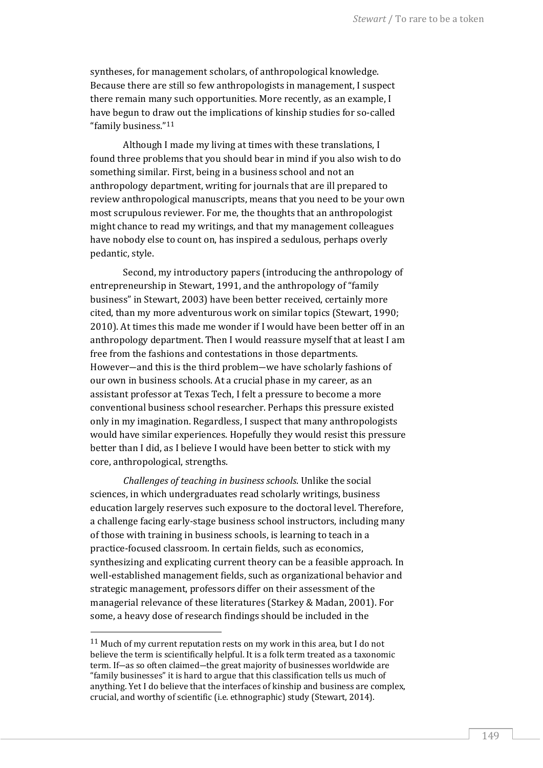syntheses, for management scholars, of anthropological knowledge. Because there are still so few anthropologists in management, I suspect there remain many such opportunities. More recently, as an example, I have begun to draw out the implications of kinship studies for so-called "family business."<sup>11</sup>

Although I made my living at times with these translations, I found three problems that you should bear in mind if you also wish to do something similar. First, being in a business school and not an anthropology department, writing for journals that are ill prepared to review anthropological manuscripts, means that you need to be your own most scrupulous reviewer. For me, the thoughts that an anthropologist might chance to read my writings, and that my management colleagues have nobody else to count on, has inspired a sedulous, perhaps overly pedantic, style.

Second, my introductory papers (introducing the anthropology of entrepreneurship in Stewart, 1991, and the anthropology of "family business" in Stewart, 2003) have been better received, certainly more cited, than my more adventurous work on similar topics (Stewart, 1990; 2010). At times this made me wonder if I would have been better off in an anthropology department. Then I would reassure myself that at least I am free from the fashions and contestations in those departments. However―and this is the third problem―we have scholarly fashions of our own in business schools. At a crucial phase in my career, as an assistant professor at Texas Tech, I felt a pressure to become a more conventional business school researcher. Perhaps this pressure existed only in my imagination. Regardless, I suspect that many anthropologists would have similar experiences. Hopefully they would resist this pressure better than I did, as I believe I would have been better to stick with my core, anthropological, strengths.

*Challenges of teaching in business schools*. Unlike the social sciences, in which undergraduates read scholarly writings, business education largely reserves such exposure to the doctoral level. Therefore, a challenge facing early-stage business school instructors, including many of those with training in business schools, is learning to teach in a practice-focused classroom. In certain fields, such as economics, synthesizing and explicating current theory can be a feasible approach. In well-established management fields, such as organizational behavior and strategic management, professors differ on their assessment of the managerial relevance of these literatures (Starkey & Madan, 2001). For some, a heavy dose of research findings should be included in the

<sup>11</sup> Much of my current reputation rests on my work in this area, but I do not believe the term is scientifically helpful. It is a folk term treated as a taxonomic term. If―as so often claimed―the great majority of businesses worldwide are "family businesses" it is hard to argue that this classification tells us much of anything. Yet I do believe that the interfaces of kinship and business are complex, crucial, and worthy of scientific (i.e. ethnographic) study (Stewart, 2014).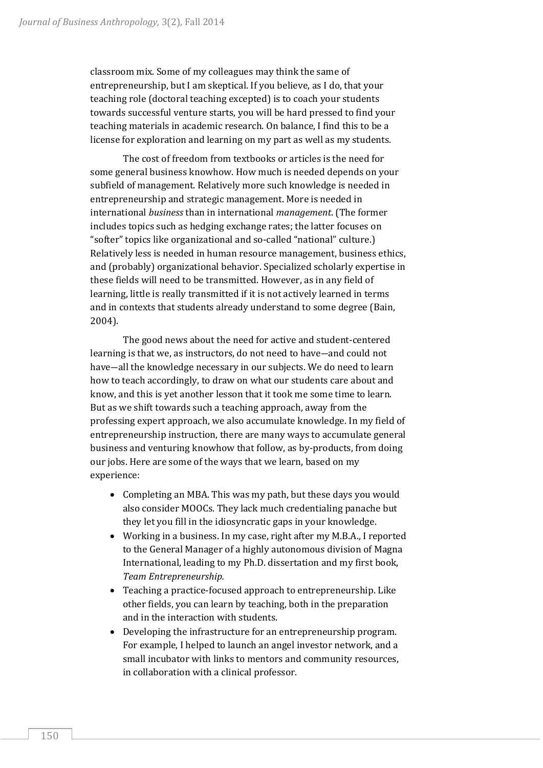classroom mix. Some of my colleagues may think the same of entrepreneurship, but I am skeptical. If you believe, as I do, that your teaching role (doctoral teaching excepted) is to coach your students towards successful venture starts, you will be hard pressed to find your teaching materials in academic research. On balance, I find this to be a license for exploration and learning on my part as well as my students.

The cost of freedom from textbooks or articles is the need for some general business knowhow. How much is needed depends on your subfield of management. Relatively more such knowledge is needed in entrepreneurship and strategic management. More is needed in international *business* than in international *management*. (The former includes topics such as hedging exchange rates; the latter focuses on "softer" topics like organizational and so-called "national" culture.) Relatively less is needed in human resource management, business ethics, and (probably) organizational behavior. Specialized scholarly expertise in these fields will need to be transmitted. However, as in any field of learning, little is really transmitted if it is not actively learned in terms and in contexts that students already understand to some degree (Bain, 2004).

The good news about the need for active and student-centered learning is that we, as instructors, do not need to have―and could not have—all the knowledge necessary in our subjects. We do need to learn how to teach accordingly, to draw on what our students care about and know, and this is yet another lesson that it took me some time to learn. But as we shift towards such a teaching approach, away from the professing expert approach, we also accumulate knowledge. In my field of entrepreneurship instruction, there are many ways to accumulate general business and venturing knowhow that follow, as by-products, from doing our jobs. Here are some of the ways that we learn, based on my experience:

- Completing an MBA. This was my path, but these days you would also consider MOOCs. They lack much credentialing panache but they let you fill in the idiosyncratic gaps in your knowledge.
- Working in a business. In my case, right after my M.B.A., I reported to the General Manager of a highly autonomous division of Magna International, leading to my Ph.D. dissertation and my first book, *Team Entrepreneurship.*
- Teaching a practice-focused approach to entrepreneurship. Like other fields, you can learn by teaching, both in the preparation and in the interaction with students.
- Developing the infrastructure for an entrepreneurship program. For example, I helped to launch an angel investor network, and a small incubator with links to mentors and community resources, in collaboration with a clinical professor.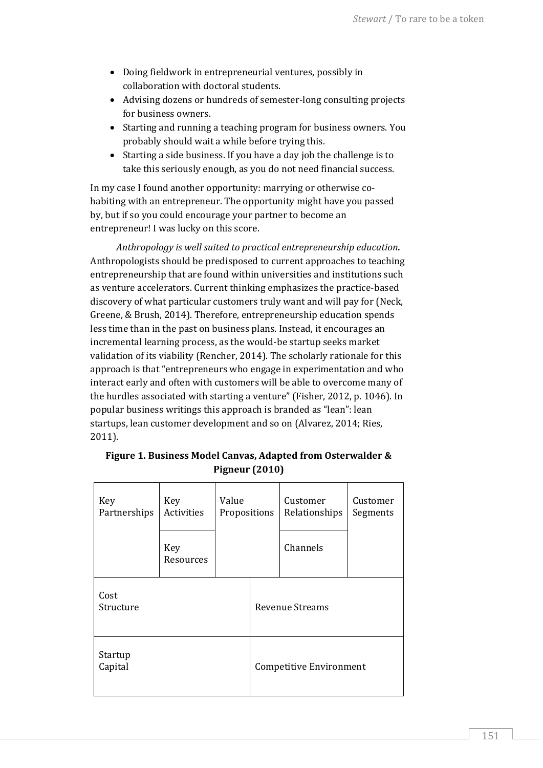- Doing fieldwork in entrepreneurial ventures, possibly in collaboration with doctoral students.
- Advising dozens or hundreds of semester-long consulting projects for business owners.
- Starting and running a teaching program for business owners. You probably should wait a while before trying this.
- Starting a side business. If you have a day job the challenge is to take this seriously enough, as you do not need financial success.

In my case I found another opportunity: marrying or otherwise cohabiting with an entrepreneur. The opportunity might have you passed by, but if so you could encourage your partner to become an entrepreneur! I was lucky on this score.

*Anthropology is well suited to practical entrepreneurship education.* Anthropologists should be predisposed to current approaches to teaching entrepreneurship that are found within universities and institutions such as venture accelerators. Current thinking emphasizes the practice-based discovery of what particular customers truly want and will pay for (Neck, Greene, & Brush, 2014). Therefore, entrepreneurship education spends less time than in the past on business plans. Instead, it encourages an incremental learning process, as the would-be startup seeks market validation of its viability (Rencher, 2014). The scholarly rationale for this approach is that "entrepreneurs who engage in experimentation and who interact early and often with customers will be able to overcome many of the hurdles associated with starting a venture" (Fisher, 2012, p. 1046). In popular business writings this approach is branded as "lean": lean startups, lean customer development and so on (Alvarez, 2014; Ries, 2011).

| Key<br>Partnerships | Key<br>Activities | Value<br>Propositions |                         | Customer<br>Relationships | Customer<br>Segments |
|---------------------|-------------------|-----------------------|-------------------------|---------------------------|----------------------|
|                     | Key<br>Resources  |                       |                         | Channels                  |                      |
| Cost<br>Structure   |                   |                       |                         | <b>Revenue Streams</b>    |                      |
| Startup<br>Capital  |                   |                       | Competitive Environment |                           |                      |

### **Figure 1. Business Model Canvas, Adapted from Osterwalder & Pigneur (2010)**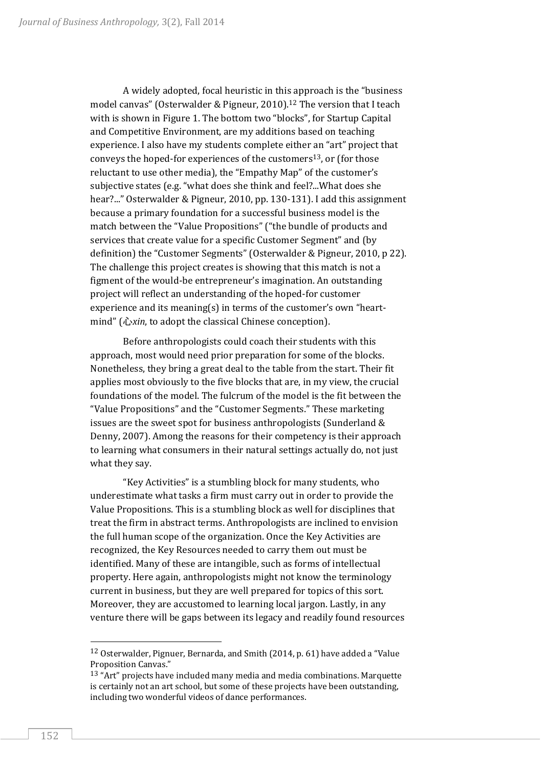A widely adopted, focal heuristic in this approach is the "business model canvas" (Osterwalder & Pigneur, 2010).<sup>12</sup> The version that I teach with is shown in Figure 1. The bottom two "blocks", for Startup Capital and Competitive Environment, are my additions based on teaching experience. I also have my students complete either an "art" project that conveys the hoped-for experiences of the customers<sup>13</sup>, or (for those reluctant to use other media), the "Empathy Map" of the customer's subjective states (e.g. "what does she think and feel?...What does she hear?..." Osterwalder & Pigneur, 2010, pp. 130-131). I add this assignment because a primary foundation for a successful business model is the match between the "Value Propositions" ("the bundle of products and services that create value for a specific Customer Segment" and (by definition) the "Customer Segments" (Osterwalder & Pigneur, 2010, p 22). The challenge this project creates is showing that this match is not a figment of the would-be entrepreneur's imagination. An outstanding project will reflect an understanding of the hoped-for customer experience and its meaning(s) in terms of the customer's own "heartmind" (心*xin*, to adopt the classical Chinese conception).

Before anthropologists could coach their students with this approach, most would need prior preparation for some of the blocks. Nonetheless, they bring a great deal to the table from the start. Their fit applies most obviously to the five blocks that are, in my view, the crucial foundations of the model. The fulcrum of the model is the fit between the "Value Propositions" and the "Customer Segments." These marketing issues are the sweet spot for business anthropologists (Sunderland & Denny, 2007). Among the reasons for their competency is their approach to learning what consumers in their natural settings actually do, not just what they say.

"Key Activities" is a stumbling block for many students, who underestimate what tasks a firm must carry out in order to provide the Value Propositions. This is a stumbling block as well for disciplines that treat the firm in abstract terms. Anthropologists are inclined to envision the full human scope of the organization. Once the Key Activities are recognized, the Key Resources needed to carry them out must be identified. Many of these are intangible, such as forms of intellectual property. Here again, anthropologists might not know the terminology current in business, but they are well prepared for topics of this sort. Moreover, they are accustomed to learning local jargon. Lastly, in any venture there will be gaps between its legacy and readily found resources

l

<sup>12</sup> Osterwalder, Pignuer, Bernarda, and Smith (2014, p. 61) have added a "Value Proposition Canvas."

 $13$  "Art" projects have included many media and media combinations. Marquette is certainly not an art school, but some of these projects have been outstanding, including two wonderful videos of dance performances.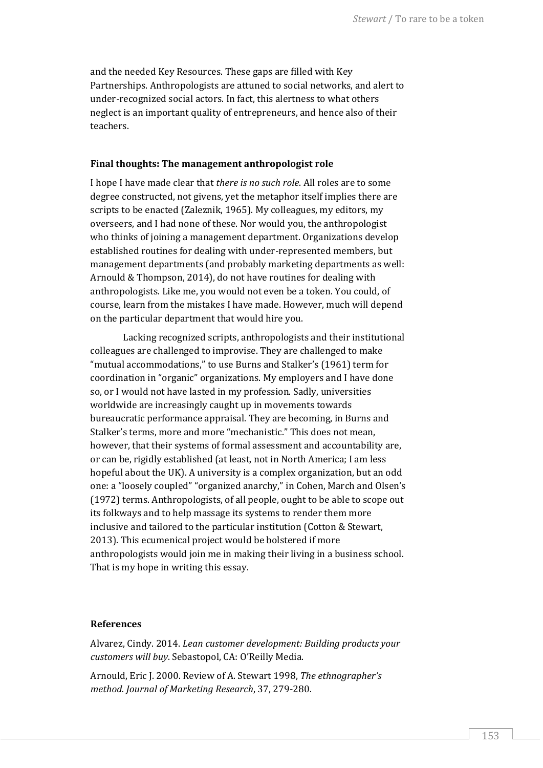and the needed Key Resources. These gaps are filled with Key Partnerships. Anthropologists are attuned to social networks, and alert to under-recognized social actors. In fact, this alertness to what others neglect is an important quality of entrepreneurs, and hence also of their teachers.

#### **Final thoughts: The management anthropologist role**

I hope I have made clear that *there is no such role*. All roles are to some degree constructed, not givens, yet the metaphor itself implies there are scripts to be enacted (Zaleznik, 1965). My colleagues, my editors, my overseers, and I had none of these. Nor would you, the anthropologist who thinks of joining a management department. Organizations develop established routines for dealing with under-represented members, but management departments (and probably marketing departments as well: Arnould & Thompson, 2014), do not have routines for dealing with anthropologists. Like me, you would not even be a token. You could, of course, learn from the mistakes I have made. However, much will depend on the particular department that would hire you.

Lacking recognized scripts, anthropologists and their institutional colleagues are challenged to improvise. They are challenged to make "mutual accommodations," to use Burns and Stalker's (1961) term for coordination in "organic" organizations. My employers and I have done so, or I would not have lasted in my profession. Sadly, universities worldwide are increasingly caught up in movements towards bureaucratic performance appraisal. They are becoming, in Burns and Stalker's terms, more and more "mechanistic." This does not mean, however, that their systems of formal assessment and accountability are, or can be, rigidly established (at least, not in North America; I am less hopeful about the UK). A university is a complex organization, but an odd one: a "loosely coupled" "organized anarchy," in Cohen, March and Olsen's (1972) terms. Anthropologists, of all people, ought to be able to scope out its folkways and to help massage its systems to render them more inclusive and tailored to the particular institution (Cotton & Stewart, 2013). This ecumenical project would be bolstered if more anthropologists would join me in making their living in a business school. That is my hope in writing this essay.

#### **References**

Alvarez, Cindy. 2014. *Lean customer development: Building products your customers will buy*. Sebastopol, CA: O'Reilly Media.

Arnould, Eric J. 2000. Review of A. Stewart 1998, *The ethnographer's method. Journal of Marketing Research*, 37, 279-280.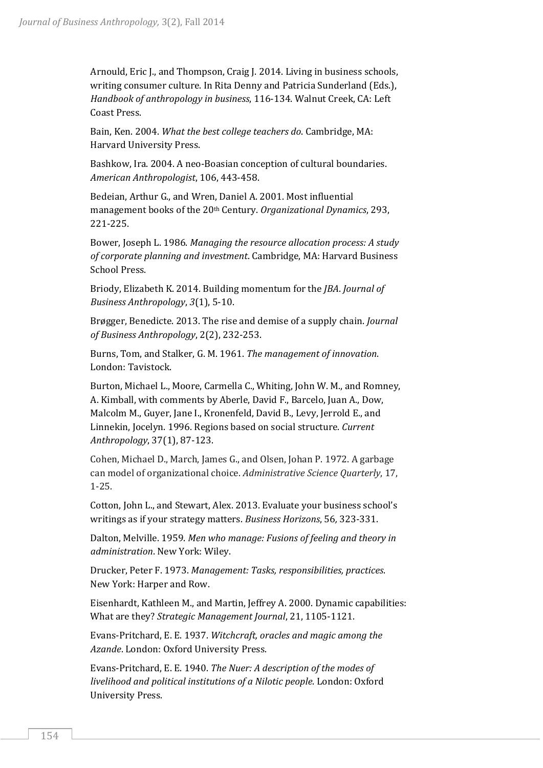Arnould, Eric J., and Thompson, Craig J. 2014. Living in business schools, writing consumer culture. In Rita Denny and Patricia Sunderland (Eds.), *Handbook of anthropology in business*, 116-134. Walnut Creek, CA: Left Coast Press.

Bain, Ken. 2004. *What the best college teachers do*. Cambridge, MA: Harvard University Press.

Bashkow, Ira. 2004. A neo-Boasian conception of cultural boundaries. *American Anthropologist*, 106, 443-458.

Bedeian, Arthur G., and Wren, Daniel A. 2001. Most influential management books of the 20th Century. *Organizational Dynamics*, 293, 221-225.

Bower, Joseph L. 1986. *Managing the resource allocation process: A study of corporate planning and investment*. Cambridge, MA: Harvard Business School Press.

Briody, Elizabeth K. 2014. Building momentum for the *JBA*. *Journal of Business Anthropology*, *3*(1), 5-10.

Brøgger, Benedicte. 2013. The rise and demise of a supply chain. *Journal of Business Anthropology*, 2(2), 232-253.

Burns, Tom, and Stalker, G. M. 1961. *The management of innovation*. London: Tavistock.

Burton, Michael L., Moore, Carmella C., Whiting, John W. M., and Romney, A. Kimball, with comments by Aberle, David F., Barcelo, Juan A., Dow, Malcolm M., Guyer, Jane I., Kronenfeld, David B., Levy, Jerrold E., and Linnekin, Jocelyn. 1996. Regions based on social structure. *Current Anthropology*, 37(1), 87-123.

Cohen, Michael D., March, James G., and Olsen, Johan P. 1972. A garbage can model of organizational choice. *Administrative Science Quarterly*, 17, 1-25.

Cotton, John L., and Stewart, Alex. 2013. Evaluate your business school's writings as if your strategy matters. *Business Horizons*, 56*,* 323-331.

Dalton, Melville. 1959. *Men who manage: Fusions of feeling and theory in administration*. New York: Wiley.

Drucker, Peter F. 1973. *Management: Tasks, responsibilities, practices*. New York: Harper and Row.

Eisenhardt, Kathleen M., and Martin, Jeffrey A. 2000. Dynamic capabilities: What are they? *Strategic Management Journal*, 21, 1105-1121.

Evans-Pritchard, E. E. 1937. *Witchcraft, oracles and magic among the Azande*. London: Oxford University Press.

Evans-Pritchard, E. E. 1940. *The Nuer: A description of the modes of livelihood and political institutions of a Nilotic people*. London: Oxford University Press.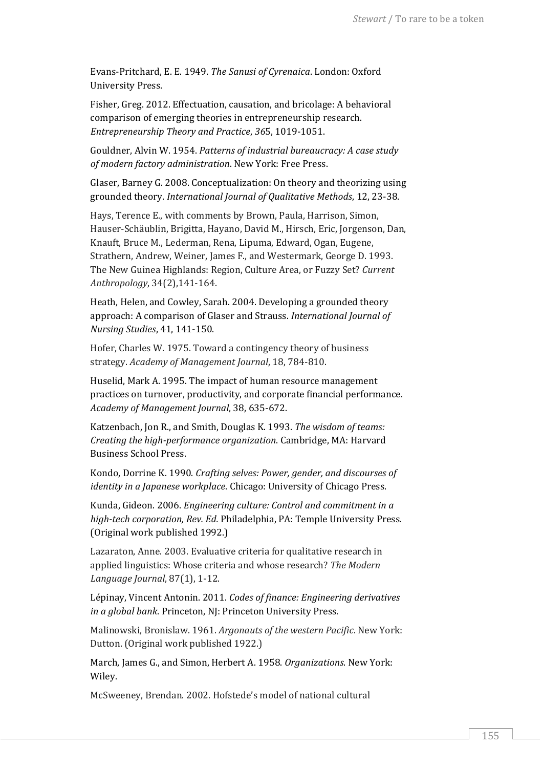Evans-Pritchard, E. E. 1949. *The Sanusi of Cyrenaica*. London: Oxford University Press.

Fisher, Greg. 2012. Effectuation, causation, and bricolage: A behavioral comparison of emerging theories in entrepreneurship research. *Entrepreneurship Theory and Practice*, *36*5, 1019-1051.

Gouldner, Alvin W. 1954. *Patterns of industrial bureaucracy: A case study of modern factory administration*. New York: Free Press.

Glaser, Barney G. 2008. Conceptualization: On theory and theorizing using grounded theory. *International Journal of Qualitative Methods*, 12, 23-38.

Hays, Terence E., with comments by Brown, Paula, Harrison, Simon, Hauser-Schäublin, Brigitta, Hayano, David M., Hirsch, Eric, Jorgenson, Dan, Knauft, Bruce M., Lederman, Rena, Lipuma, Edward, Ogan, Eugene, Strathern, Andrew, Weiner, James F., and Westermark, George D. 1993. The New Guinea Highlands: Region, Culture Area, or Fuzzy Set? *Current Anthropology*, 34(2),141-164.

Heath, Helen, and Cowley, Sarah. 2004. Developing a grounded theory approach: A comparison of Glaser and Strauss. *International Journal of Nursing Studies*, 41, 141-150.

Hofer, Charles W. 1975. Toward a contingency theory of business strategy. *Academy of Management Journal*, 18, 784-810.

Huselid, Mark A. 1995. The impact of human resource management practices on turnover, productivity, and corporate financial performance. *Academy of Management Journal*, 38, 635-672.

Katzenbach, Jon R., and Smith, Douglas K. 1993. *The wisdom of teams: Creating the high-performance organization*. Cambridge, MA: Harvard Business School Press.

Kondo, Dorrine K. 1990. *Crafting selves: Power, gender, and discourses of identity in a Japanese workplace*. Chicago: University of Chicago Press.

Kunda, Gideon. 2006. *Engineering culture: Control and commitment in a high-tech corporation, Rev. Ed.* Philadelphia, PA: Temple University Press. (Original work published 1992.)

Lazaraton, Anne. 2003. Evaluative criteria for qualitative research in applied linguistics: Whose criteria and whose research? *The Modern Language Journal*, 87(1), 1-12.

Lépinay, Vincent Antonin. 2011. *Codes of finance: Engineering derivatives in a global bank*. Princeton, NJ: Princeton University Press.

Malinowski, Bronislaw. 1961. *Argonauts of the western Pacific*. New York: Dutton. (Original work published 1922.)

March, James G., and Simon, Herbert A. 1958. *Organizations*. New York: Wiley.

McSweeney, Brendan. 2002. Hofstede's model of national cultural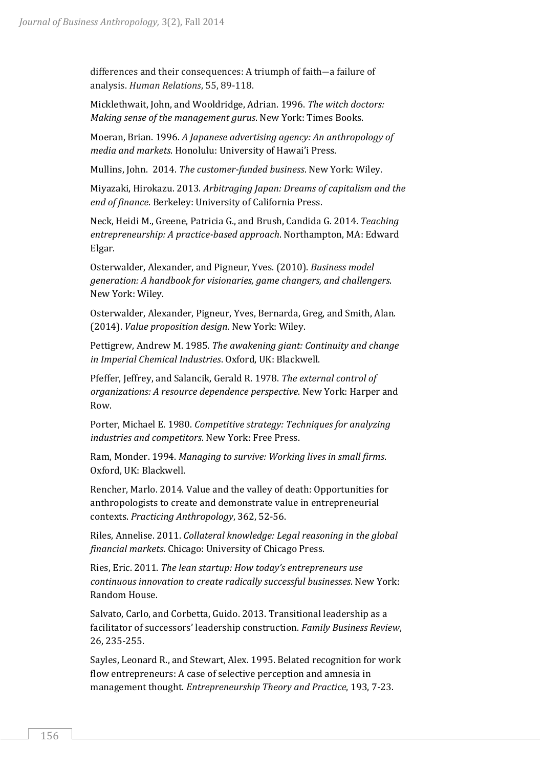differences and their consequences: A triumph of faith―a failure of analysis. *Human Relations*, 55, 89-118.

Micklethwait, John, and Wooldridge, Adrian. 1996. *The witch doctors: Making sense of the management gurus*. New York: Times Books.

Moeran, Brian. 1996. *A Japanese advertising agency: An anthropology of media and markets*. Honolulu: University of Hawai'i Press.

Mullins, John. 2014. *The customer-funded business*. New York: Wiley.

Miyazaki, Hirokazu. 2013. *Arbitraging Japan: Dreams of capitalism and the end of finance*. Berkeley: University of California Press.

Neck, Heidi M., Greene, Patricia G., and Brush, Candida G. 2014. *Teaching entrepreneurship: A practice-based approach*. Northampton, MA: Edward Elgar.

Osterwalder, Alexander, and Pigneur, Yves. (2010). *Business model generation: A handbook for visionaries, game changers, and challengers*. New York: Wiley.

Osterwalder, Alexander, Pigneur, Yves, Bernarda, Greg, and Smith, Alan. (2014). *Value proposition design*. New York: Wiley.

Pettigrew, Andrew M. 1985. *The awakening giant: Continuity and change in Imperial Chemical Industries*. Oxford, UK: Blackwell.

Pfeffer, Jeffrey, and Salancik, Gerald R. 1978. *The external control of organizations: A resource dependence perspective*. New York: Harper and Row.

Porter, Michael E. 1980. *Competitive strategy: Techniques for analyzing industries and competitors*. New York: Free Press.

Ram, Monder. 1994. *Managing to survive: Working lives in small firms*. Oxford, UK: Blackwell.

Rencher, Marlo. 2014. Value and the valley of death: Opportunities for anthropologists to create and demonstrate value in entrepreneurial contexts. *Practicing Anthropology*, 362, 52-56.

Riles, Annelise. 2011. *Collateral knowledge: Legal reasoning in the global financial markets*. Chicago: University of Chicago Press.

Ries, Eric. 2011. *The lean startup: How today's entrepreneurs use continuous innovation to create radically successful businesses*. New York: Random House.

Salvato, Carlo, and Corbetta, Guido. 2013. Transitional leadership as a facilitator of successors' leadership construction. *Family Business Review*, 26, 235-255.

Sayles, Leonard R., and Stewart, Alex. 1995. Belated recognition for work flow entrepreneurs: A case of selective perception and amnesia in management thought. *Entrepreneurship Theory and Practice*, 193, 7-23.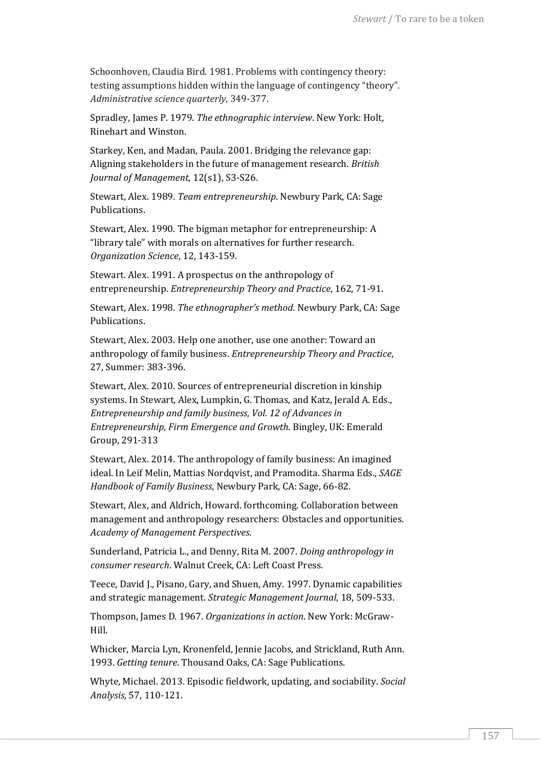Schoonhoven, Claudia Bird. 1981. Problems with contingency theory: testing assumptions hidden within the language of contingency "theory". *Administrative science quarterly*, 349-377.

Spradley, James P. 1979. *The ethnographic interview*. New York: Holt, Rinehart and Winston.

Starkey, Ken, and Madan, Paula. 2001. Bridging the relevance gap: Aligning stakeholders in the future of management research. *British Journal of Management*, 12(s1), S3-S26.

Stewart, Alex. 1989. *Team entrepreneurship*. Newbury Park, CA: Sage Publications.

Stewart, Alex. 1990. The bigman metaphor for entrepreneurship: A "library tale" with morals on alternatives for further research. *Organization Science*, 12, 143-159.

Stewart. Alex. 1991. A prospectus on the anthropology of entrepreneurship. *Entrepreneurship Theory and Practice*, 162, 71-91.

Stewart, Alex. 1998. *The ethnographer's method*. Newbury Park, CA: Sage Publications.

Stewart, Alex. 2003. Help one another, use one another: Toward an anthropology of family business. *Entrepreneurship Theory and Practice*, 27, Summer: 383-396.

Stewart, Alex. 2010. Sources of entrepreneurial discretion in kinship systems. In Stewart, Alex, Lumpkin, G. Thomas, and Katz, Jerald A. Eds., *Entrepreneurship and family business, Vol. 12 of Advances in Entrepreneurship, Firm Emergence and Growth*. Bingley, UK: Emerald Group, 291-313

Stewart, Alex. 2014. The anthropology of family business: An imagined ideal. In Leif Melin, Mattias Nordqvist, and Pramodita. Sharma Eds., *SAGE Handbook of Family Business*, Newbury Park, CA: Sage, 66-82.

Stewart, Alex, and Aldrich, Howard. forthcoming. Collaboration between management and anthropology researchers: Obstacles and opportunities. *Academy of Management Perspectives*.

Sunderland, Patricia L., and Denny, Rita M. 2007. *Doing anthropology in consumer research*. Walnut Creek, CA: Left Coast Press.

Teece, David J., Pisano, Gary, and Shuen, Amy. 1997. Dynamic capabilities and strategic management. *Strategic Management Journal*, 18, 509-533.

Thompson, James D. 1967. *Organizations in action*. New York: McGraw-Hill.

Whicker, Marcia Lyn, Kronenfeld, Jennie Jacobs, and Strickland, Ruth Ann. 1993. *Getting tenure*. Thousand Oaks, CA: Sage Publications.

Whyte, Michael. 2013. Episodic fieldwork, updating, and sociability. *Social Analysis*, 57, 110-121.